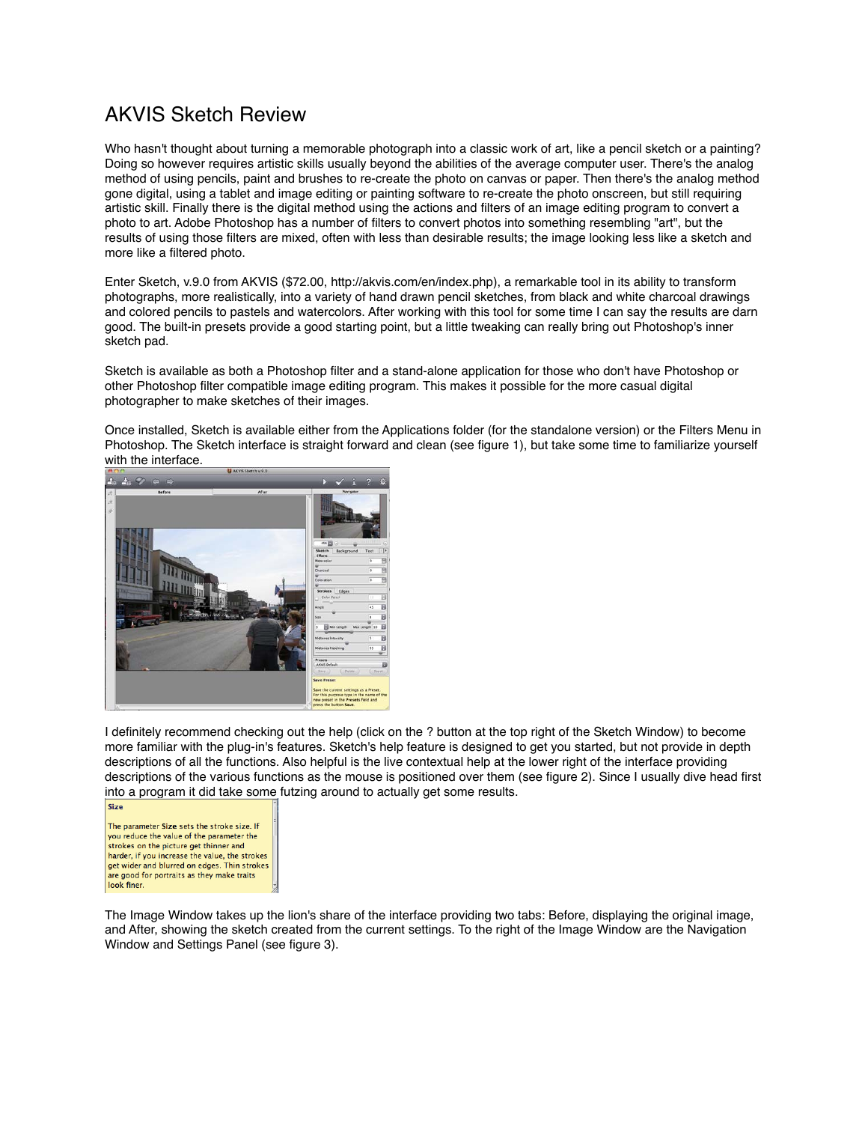## AKVIS Sketch Review

Who hasn't thought about turning a memorable photograph into a classic work of art, like a pencil sketch or a painting? Doing so however requires artistic skills usually beyond the abilities of the average computer user. There's the analog method of using pencils, paint and brushes to re-create the photo on canvas or paper. Then there's the analog method gone digital, using a tablet and image editing or painting software to re-create the photo onscreen, but still requiring artistic skill. Finally there is the digital method using the actions and filters of an image editing program to convert a photo to art. Adobe Photoshop has a number of filters to convert photos into something resembling "art", but the results of using those filters are mixed, often with less than desirable results; the image looking less like a sketch and more like a filtered photo.

Enter Sketch, v.9.0 from AKVIS (\$72.00, http://akvis.com/en/index.php), a remarkable tool in its ability to transform photographs, more realistically, into a variety of hand drawn pencil sketches, from black and white charcoal drawings and colored pencils to pastels and watercolors. After working with this tool for some time I can say the results are darn good. The built-in presets provide a good starting point, but a little tweaking can really bring out Photoshop's inner sketch pad.

Sketch is available as both a Photoshop filter and a stand-alone application for those who don't have Photoshop or other Photoshop filter compatible image editing program. This makes it possible for the more casual digital photographer to make sketches of their images.

Once installed, Sketch is available either from the Applications folder (for the standalone version) or the Filters Menu in Photoshop. The Sketch interface is straight forward and clean (see figure 1), but take some time to familiarize yourself with the interface.



I definitely recommend checking out the help (click on the ? button at the top right of the Sketch Window) to become more familiar with the plug-in's features. Sketch's help feature is designed to get you started, but not provide in depth descriptions of all the functions. Also helpful is the live contextual help at the lower right of the interface providing descriptions of the various functions as the mouse is positioned over them (see figure 2). Since I usually dive head first into a program it did take some futzing around to actually get some results.

The parameter Size sets the stroke size. If you reduce the value of the parameter the strokes on the picture get thinner and harder, if you increase the value, the strokes get wider and blurred on edges. Thin strokes are good for portraits as they make traits look finer.

Size

The Image Window takes up the lion's share of the interface providing two tabs: Before, displaying the original image, and After, showing the sketch created from the current settings. To the right of the Image Window are the Navigation Window and Settings Panel (see figure 3).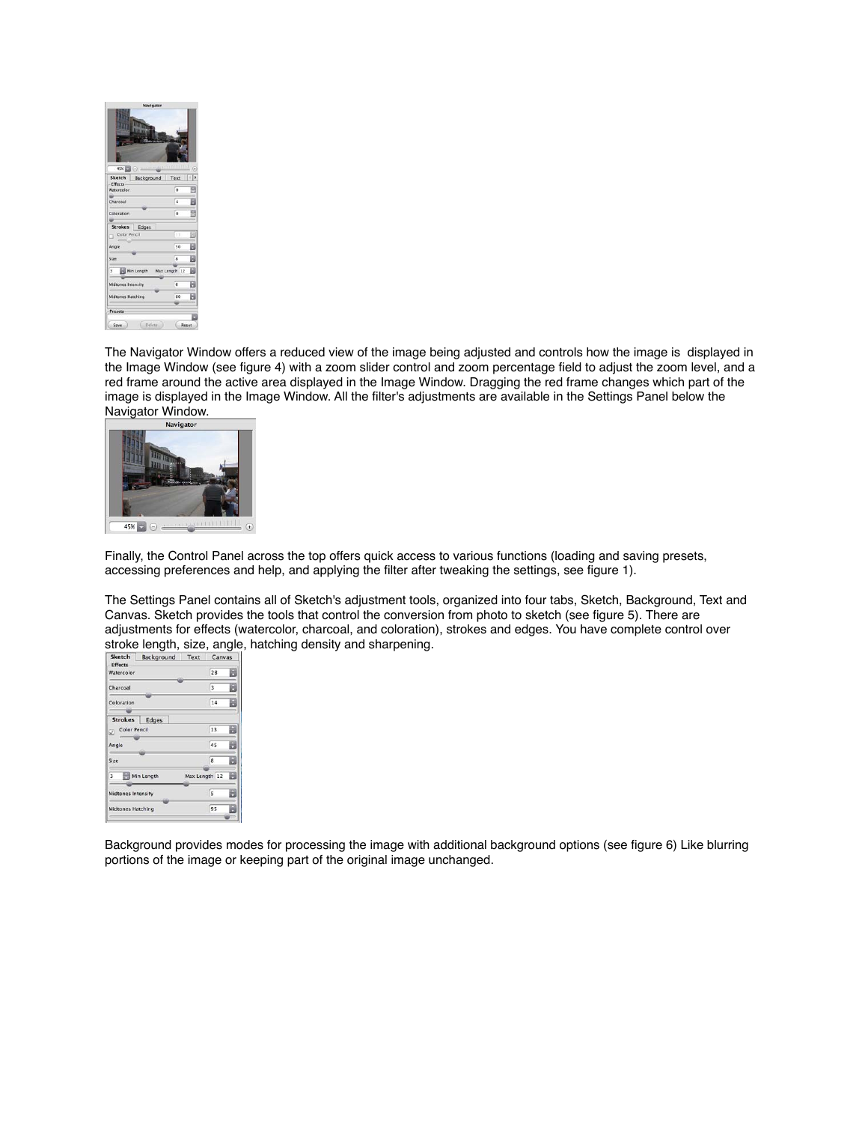

The Navigator Window offers a reduced view of the image being adjusted and controls how the image is displayed in the Image Window (see figure 4) with a zoom slider control and zoom percentage field to adjust the zoom level, and a red frame around the active area displayed in the Image Window. Dragging the red frame changes which part of the image is displayed in the Image Window. All the filter's adjustments are available in the Settings Panel below the Navigator Window.



Finally, the Control Panel across the top offers quick access to various functions (loading and saving presets, accessing preferences and help, and applying the filter after tweaking the settings, see figure 1).

The Settings Panel contains all of Sketch's adjustment tools, organized into four tabs, Sketch, Background, Text and Canvas. Sketch provides the tools that control the conversion from photo to sketch (see figure 5). There are adjustments for effects (watercolor, charcoal, and coloration), strokes and edges. You have complete control over stroke length, size, angle, hatching density and sharpening.

| Sketch                       | Background | Text          | Canvas |   |
|------------------------------|------------|---------------|--------|---|
| <b>Effects</b><br>Watercolor |            |               | 28     |   |
| Charcoal                     |            |               | 3      |   |
| Coloration                   |            |               | 14     |   |
|                              |            |               |        |   |
| <b>Strokes</b>               | Edges      |               |        |   |
| <b>Color Pencil</b><br>V)    |            |               | 13     |   |
| Angle                        |            |               | 45     |   |
| Size                         |            |               | 8      | я |
| 3<br>m                       | Min Length | Max Length 12 |        | H |
| Midtones Intensity           |            |               | 5      |   |
| <b>Midtones Hatching</b>     |            |               | 95     |   |
|                              |            |               |        |   |

Background provides modes for processing the image with additional background options (see figure 6) Like blurring portions of the image or keeping part of the original image unchanged.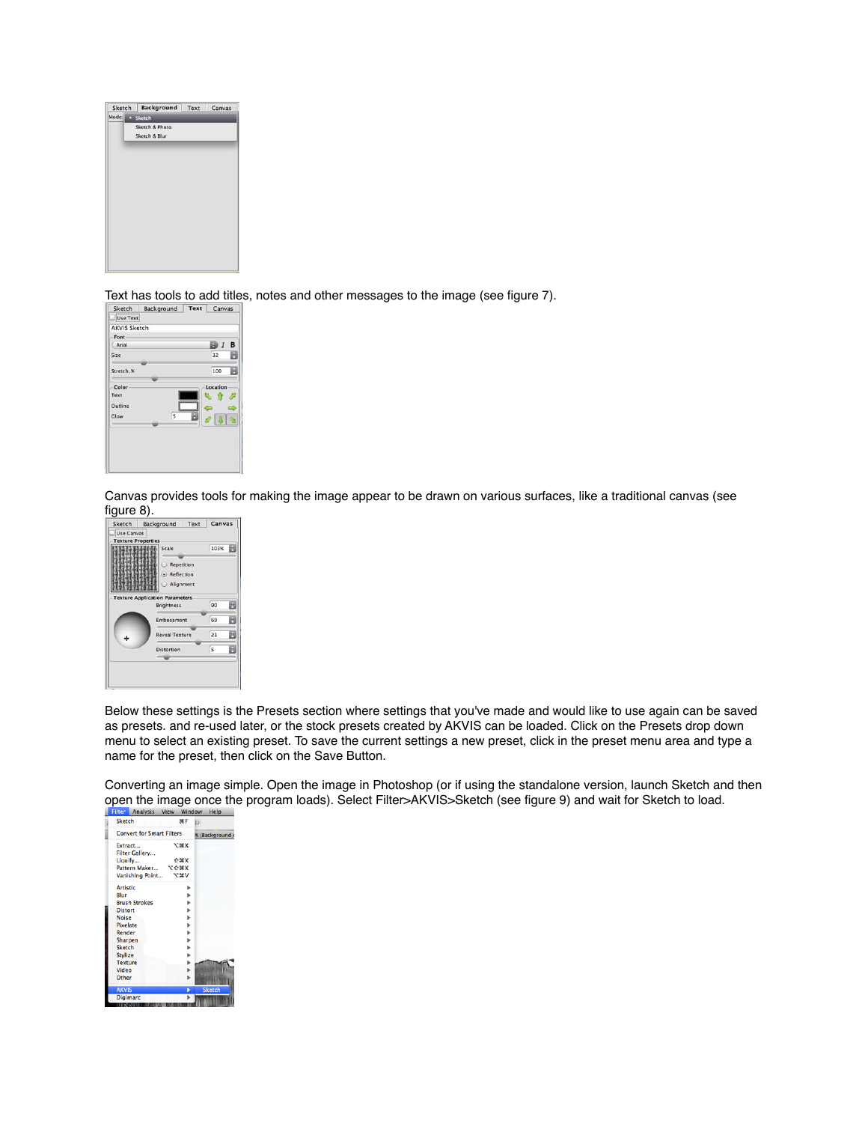

Text has tools to add titles, notes and other messages to the image (see figure 7).<br>  $\frac{S_{\text{ketch}}}{S_{\text{AKVIS} S\text{ketch}}}$ 



Canvas provides tools for making the image appear to be drawn on various surfaces, like a traditional canvas (see



Below these settings is the Presets section where settings that you've made and would like to use again can be saved as presets. and re-used later, or the stock presets created by AKVIS can be loaded. Click on the Presets drop down menu to select an existing preset. To save the current settings a new preset, click in the preset menu area and type a name for the preset, then click on the Save Button.

Converting an image simple. Open the image in Photoshop (or if using the standalone version, launch Sketch and then open the image once the program loads). Select Filter>AKVIS>Sketch (see figure 9) and wait for Sketch to load.

| гиен -          | <b>MILAIVSIS</b>                 | view         | ,,,,,,,,,,,   | пер             |
|-----------------|----------------------------------|--------------|---------------|-----------------|
| Sketch          |                                  | <b>SRF</b>   |               |                 |
|                 | <b>Convert for Smart Filters</b> |              |               | % (Background o |
| Extract         |                                  | $x$ <b>*</b> |               |                 |
|                 | Filter Gallery                   |              |               |                 |
| Liquify         |                                  | <b>介葉X</b>   |               |                 |
|                 | Pattern Maker                    | <b>NSCY</b>  |               |                 |
|                 | Vanishing Point                  | <b>V</b> %   |               |                 |
| <b>Artistic</b> |                                  |              |               |                 |
| Blur            |                                  |              |               |                 |
|                 | <b>Brush Strokes</b>             |              |               |                 |
| <b>Distort</b>  |                                  |              | Þ             |                 |
| <b>Noise</b>    |                                  |              | Þ             |                 |
| Pixelate        |                                  |              | ь             |                 |
| Render          |                                  |              | Þ             |                 |
| Sharpen         |                                  |              | Þ             |                 |
| <b>Sketch</b>   |                                  |              | Þ             |                 |
| <b>Stylize</b>  |                                  |              |               |                 |
| <b>Texture</b>  |                                  |              | $\frac{P}{P}$ |                 |
| Video           |                                  |              | ь             |                 |
| Other           |                                  |              |               |                 |
| <b>AKVIS</b>    |                                  |              |               | <b>Sketch</b>   |
| <b>Digimarc</b> |                                  |              |               |                 |
| ,,,,,,,,        |                                  |              |               |                 |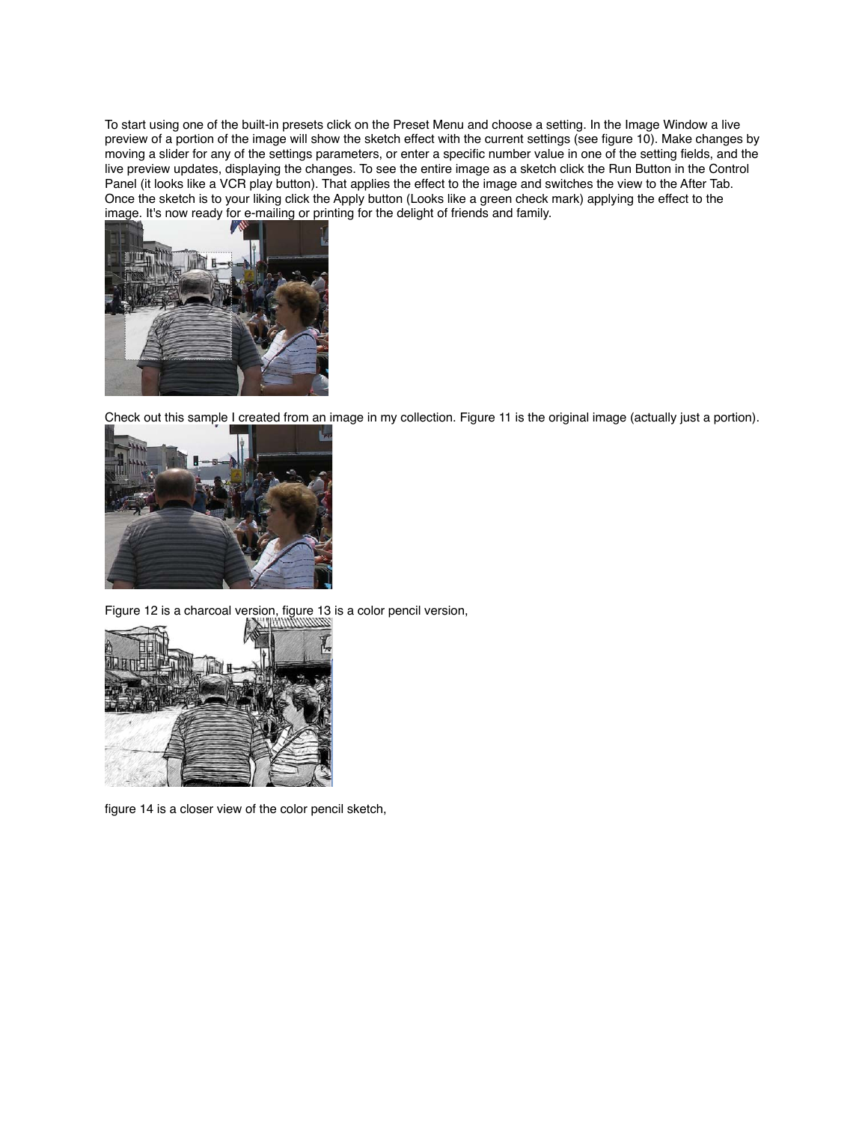To start using one of the built-in presets click on the Preset Menu and choose a setting. In the Image Window a live preview of a portion of the image will show the sketch effect with the current settings (see figure 10). Make changes by moving a slider for any of the settings parameters, or enter a specific number value in one of the setting fields, and the live preview updates, displaying the changes. To see the entire image as a sketch click the Run Button in the Control Panel (it looks like a VCR play button). That applies the effect to the image and switches the view to the After Tab. Once the sketch is to your liking click the Apply button (Looks like a green check mark) applying the effect to the image. It's now ready for e-mailing or printing for the delight of friends and family.



Check out this sample I created from an image in my collection. Figure 11 is the original image (actually just a portion).



Figure 12 is a charcoal version, figure 13 is a color pencil version,



figure 14 is a closer view of the color pencil sketch,